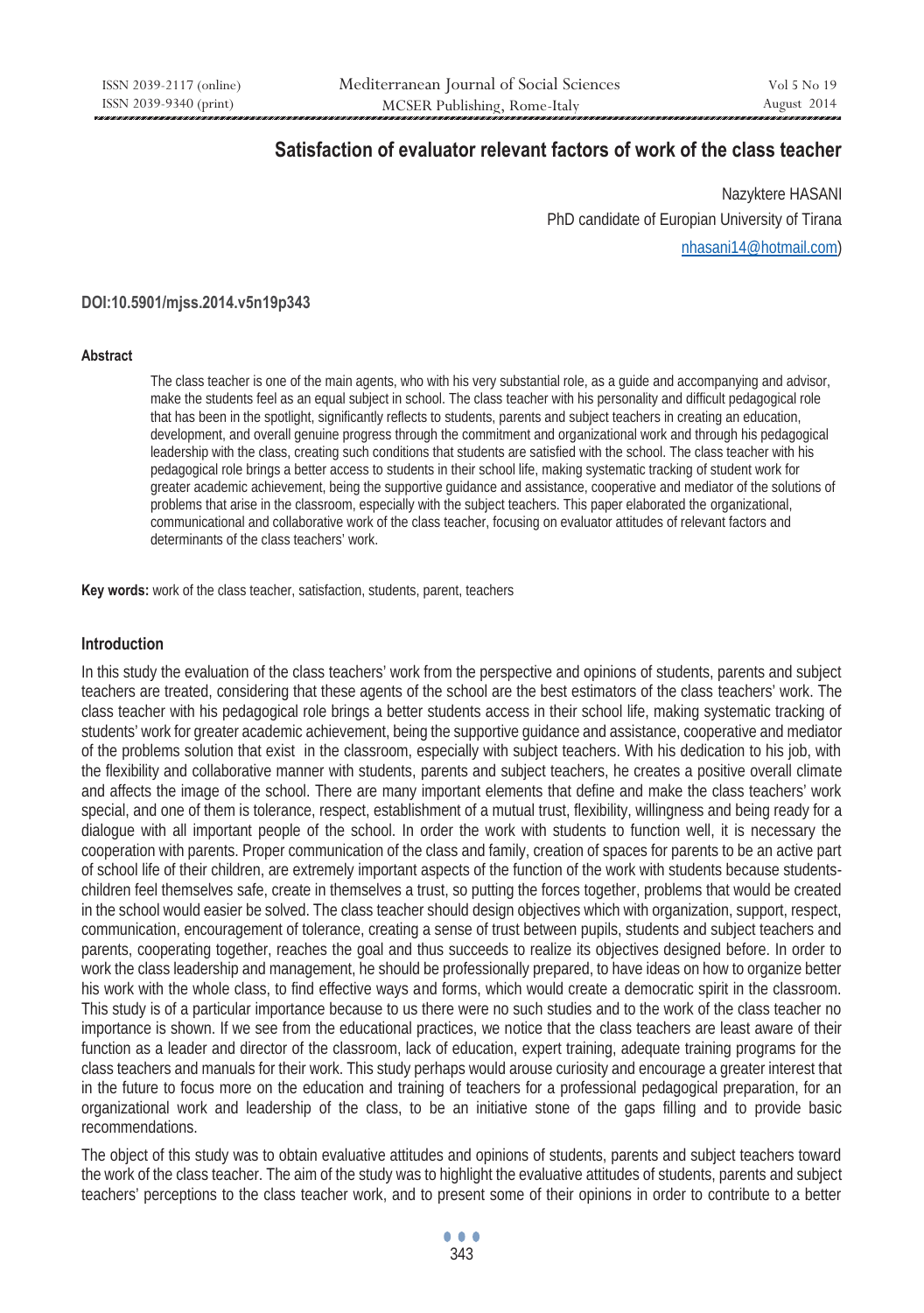# **Satisfaction of evaluator relevant factors of work of the class teacher**

Nazyktere HASANI PhD candidate of Europian University of Tirana nhasani14@hotmail.com)

#### **DOI:10.5901/mjss.2014.v5n19p343**

#### **Abstract**

The class teacher is one of the main agents, who with his very substantial role, as a guide and accompanying and advisor, make the students feel as an equal subject in school. The class teacher with his personality and difficult pedagogical role that has been in the spotlight, significantly reflects to students, parents and subject teachers in creating an education, development, and overall genuine progress through the commitment and organizational work and through his pedagogical leadership with the class, creating such conditions that students are satisfied with the school. The class teacher with his pedagogical role brings a better access to students in their school life, making systematic tracking of student work for greater academic achievement, being the supportive guidance and assistance, cooperative and mediator of the solutions of problems that arise in the classroom, especially with the subject teachers. This paper elaborated the organizational, communicational and collaborative work of the class teacher, focusing on evaluator attitudes of relevant factors and determinants of the class teachers' work.

**Key words:** work of the class teacher, satisfaction, students, parent, teachers

#### **Introduction**

In this study the evaluation of the class teachers' work from the perspective and opinions of students, parents and subject teachers are treated, considering that these agents of the school are the best estimators of the class teachers' work. The class teacher with his pedagogical role brings a better students access in their school life, making systematic tracking of students' work for greater academic achievement, being the supportive guidance and assistance, cooperative and mediator of the problems solution that exist in the classroom, especially with subject teachers. With his dedication to his job, with the flexibility and collaborative manner with students, parents and subject teachers, he creates a positive overall climate and affects the image of the school. There are many important elements that define and make the class teachers' work special, and one of them is tolerance, respect, establishment of a mutual trust, flexibility, willingness and being ready for a dialogue with all important people of the school. In order the work with students to function well, it is necessary the cooperation with parents. Proper communication of the class and family, creation of spaces for parents to be an active part of school life of their children, are extremely important aspects of the function of the work with students because studentschildren feel themselves safe, create in themselves a trust, so putting the forces together, problems that would be created in the school would easier be solved. The class teacher should design objectives which with organization, support, respect, communication, encouragement of tolerance, creating a sense of trust between pupils, students and subject teachers and parents, cooperating together, reaches the goal and thus succeeds to realize its objectives designed before. In order to work the class leadership and management, he should be professionally prepared, to have ideas on how to organize better his work with the whole class, to find effective ways and forms, which would create a democratic spirit in the classroom. This study is of a particular importance because to us there were no such studies and to the work of the class teacher no importance is shown. If we see from the educational practices, we notice that the class teachers are least aware of their function as a leader and director of the classroom, lack of education, expert training, adequate training programs for the class teachers and manuals for their work. This study perhaps would arouse curiosity and encourage a greater interest that in the future to focus more on the education and training of teachers for a professional pedagogical preparation, for an organizational work and leadership of the class, to be an initiative stone of the gaps filling and to provide basic recommendations.

The object of this study was to obtain evaluative attitudes and opinions of students, parents and subject teachers toward the work of the class teacher. The aim of the study was to highlight the evaluative attitudes of students, parents and subject teachers' perceptions to the class teacher work, and to present some of their opinions in order to contribute to a better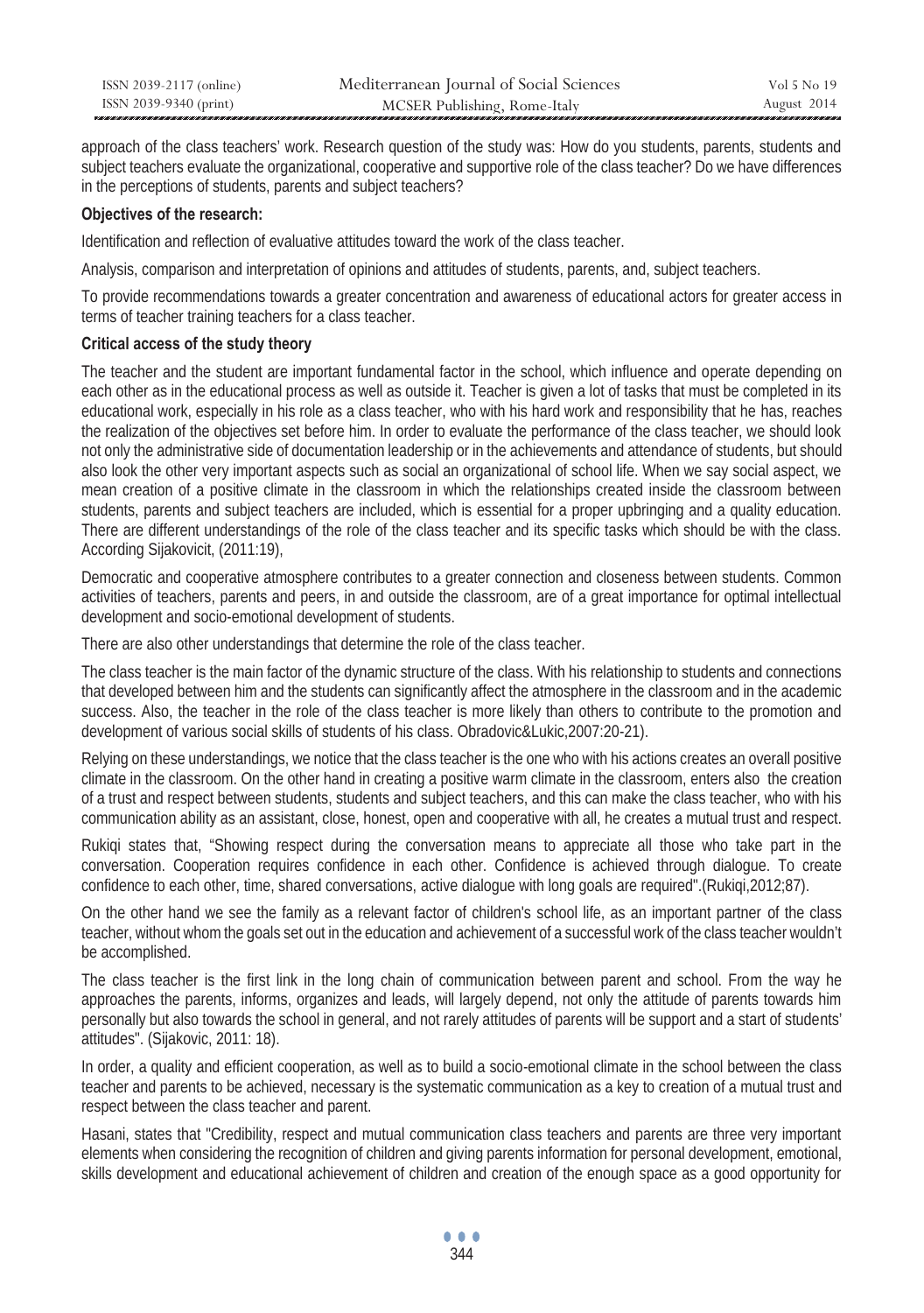| ISSN 2039-2117 (online) | Mediterranean Journal of Social Sciences | Vol 5 No 19 |
|-------------------------|------------------------------------------|-------------|
| ISSN 2039-9340 (print)  | MCSER Publishing, Rome-Italy             | August 2014 |

approach of the class teachers' work. Research question of the study was: How do you students, parents, students and subject teachers evaluate the organizational, cooperative and supportive role of the class teacher? Do we have differences in the perceptions of students, parents and subject teachers?

### **Objectives of the research:**

Identification and reflection of evaluative attitudes toward the work of the class teacher.

Analysis, comparison and interpretation of opinions and attitudes of students, parents, and, subject teachers.

To provide recommendations towards a greater concentration and awareness of educational actors for greater access in terms of teacher training teachers for a class teacher.

## **Critical access of the study theory**

The teacher and the student are important fundamental factor in the school, which influence and operate depending on each other as in the educational process as well as outside it. Teacher is given a lot of tasks that must be completed in its educational work, especially in his role as a class teacher, who with his hard work and responsibility that he has, reaches the realization of the objectives set before him. In order to evaluate the performance of the class teacher, we should look not only the administrative side of documentation leadership or in the achievements and attendance of students, but should also look the other very important aspects such as social an organizational of school life. When we say social aspect, we mean creation of a positive climate in the classroom in which the relationships created inside the classroom between students, parents and subject teachers are included, which is essential for a proper upbringing and a quality education. There are different understandings of the role of the class teacher and its specific tasks which should be with the class. According Sijakovicit, (2011:19),

Democratic and cooperative atmosphere contributes to a greater connection and closeness between students. Common activities of teachers, parents and peers, in and outside the classroom, are of a great importance for optimal intellectual development and socio-emotional development of students.

There are also other understandings that determine the role of the class teacher.

The class teacher is the main factor of the dynamic structure of the class. With his relationship to students and connections that developed between him and the students can significantly affect the atmosphere in the classroom and in the academic success. Also, the teacher in the role of the class teacher is more likely than others to contribute to the promotion and development of various social skills of students of his class. Obradovic&Lukic,2007:20-21).

Relying on these understandings, we notice that the class teacher is the one who with his actions creates an overall positive climate in the classroom. On the other hand in creating a positive warm climate in the classroom, enters also the creation of a trust and respect between students, students and subject teachers, and this can make the class teacher, who with his communication ability as an assistant, close, honest, open and cooperative with all, he creates a mutual trust and respect.

Rukiqi states that, "Showing respect during the conversation means to appreciate all those who take part in the conversation. Cooperation requires confidence in each other. Confidence is achieved through dialogue. To create confidence to each other, time, shared conversations, active dialogue with long goals are required".(Rukiqi,2012;87).

On the other hand we see the family as a relevant factor of children's school life, as an important partner of the class teacher, without whom the goals set out in the education and achievement of a successful work of the class teacher wouldn't be accomplished.

The class teacher is the first link in the long chain of communication between parent and school. From the way he approaches the parents, informs, organizes and leads, will largely depend, not only the attitude of parents towards him personally but also towards the school in general, and not rarely attitudes of parents will be support and a start of students' attitudes". (Sijakovic, 2011: 18).

In order, a quality and efficient cooperation, as well as to build a socio-emotional climate in the school between the class teacher and parents to be achieved, necessary is the systematic communication as a key to creation of a mutual trust and respect between the class teacher and parent.

Hasani, states that "Credibility, respect and mutual communication class teachers and parents are three very important elements when considering the recognition of children and giving parents information for personal development, emotional, skills development and educational achievement of children and creation of the enough space as a good opportunity for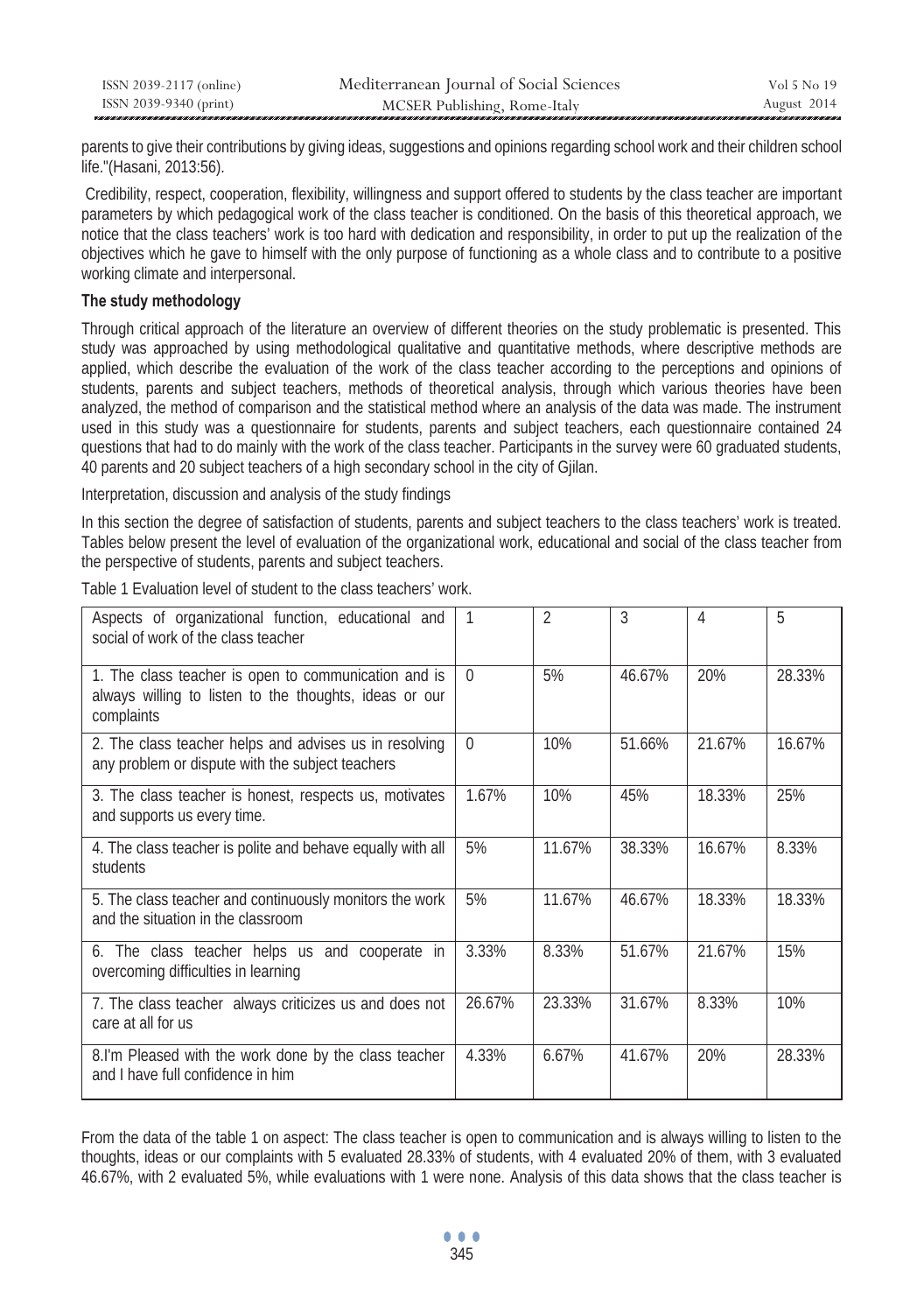| ISSN 2039-2117 (online) | Mediterranean Journal of Social Sciences | Vol 5 No 19 |
|-------------------------|------------------------------------------|-------------|
| ISSN 2039-9340 (print)  | MCSER Publishing, Rome-Italy             | August 2014 |

parents to give their contributions by giving ideas, suggestions and opinions regarding school work and their children school life."(Hasani, 2013:56).

 Credibility, respect, cooperation, flexibility, willingness and support offered to students by the class teacher are important parameters by which pedagogical work of the class teacher is conditioned. On the basis of this theoretical approach, we notice that the class teachers' work is too hard with dedication and responsibility, in order to put up the realization of the objectives which he gave to himself with the only purpose of functioning as a whole class and to contribute to a positive working climate and interpersonal.

## **The study methodology**

Through critical approach of the literature an overview of different theories on the study problematic is presented. This study was approached by using methodological qualitative and quantitative methods, where descriptive methods are applied, which describe the evaluation of the work of the class teacher according to the perceptions and opinions of students, parents and subject teachers, methods of theoretical analysis, through which various theories have been analyzed, the method of comparison and the statistical method where an analysis of the data was made. The instrument used in this study was a questionnaire for students, parents and subject teachers, each questionnaire contained 24 questions that had to do mainly with the work of the class teacher. Participants in the survey were 60 graduated students, 40 parents and 20 subject teachers of a high secondary school in the city of Gjilan.

Interpretation, discussion and analysis of the study findings

In this section the degree of satisfaction of students, parents and subject teachers to the class teachers' work is treated. Tables below present the level of evaluation of the organizational work, educational and social of the class teacher from the perspective of students, parents and subject teachers.

| Aspects of organizational function, educational and<br>social of work of the class teacher                                   | 1        | 2      | 3      | 4      | 5      |
|------------------------------------------------------------------------------------------------------------------------------|----------|--------|--------|--------|--------|
| 1. The class teacher is open to communication and is<br>always willing to listen to the thoughts, ideas or our<br>complaints | $\Omega$ | 5%     | 46.67% | 20%    | 28.33% |
| 2. The class teacher helps and advises us in resolving<br>any problem or dispute with the subject teachers                   | $\Omega$ | 10%    | 51.66% | 21.67% | 16.67% |
| 3. The class teacher is honest, respects us, motivates<br>and supports us every time.                                        | 1.67%    | 10%    | 45%    | 18.33% | 25%    |
| 4. The class teacher is polite and behave equally with all<br>students                                                       | 5%       | 11.67% | 38.33% | 16.67% | 8.33%  |
| 5. The class teacher and continuously monitors the work<br>and the situation in the classroom                                | 5%       | 11.67% | 46.67% | 18.33% | 18.33% |
| 6. The class teacher helps us and cooperate in<br>overcoming difficulties in learning                                        | 3.33%    | 8.33%  | 51.67% | 21.67% | 15%    |
| 7. The class teacher always criticizes us and does not<br>care at all for us                                                 | 26.67%   | 23.33% | 31.67% | 8.33%  | 10%    |
| 8.I'm Pleased with the work done by the class teacher<br>and I have full confidence in him                                   | 4.33%    | 6.67%  | 41.67% | 20%    | 28.33% |

Table 1 Evaluation level of student to the class teachers' work.

From the data of the table 1 on aspect: The class teacher is open to communication and is always willing to listen to the thoughts, ideas or our complaints with 5 evaluated 28.33% of students, with 4 evaluated 20% of them, with 3 evaluated 46.67%, with 2 evaluated 5%, while evaluations with 1 were none. Analysis of this data shows that the class teacher is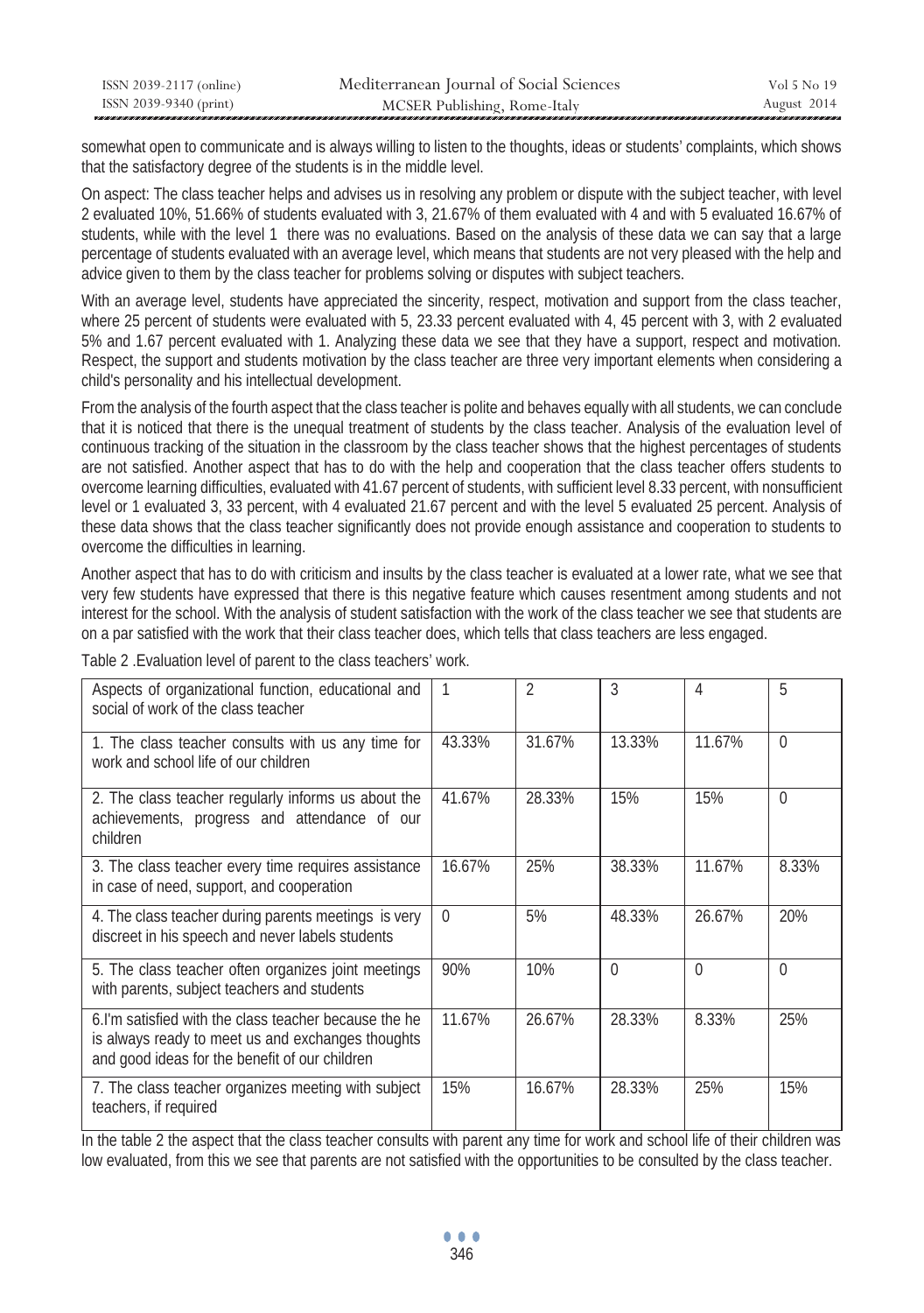| ISSN 2039-2117 (online) | Mediterranean Journal of Social Sciences | Vol 5 No 19 |
|-------------------------|------------------------------------------|-------------|
| ISSN 2039-9340 (print)  | MCSER Publishing, Rome-Italy             | August 2014 |

somewhat open to communicate and is always willing to listen to the thoughts, ideas or students' complaints, which shows that the satisfactory degree of the students is in the middle level.

On aspect: The class teacher helps and advises us in resolving any problem or dispute with the subject teacher, with level 2 evaluated 10%, 51.66% of students evaluated with 3, 21.67% of them evaluated with 4 and with 5 evaluated 16.67% of students, while with the level 1 there was no evaluations. Based on the analysis of these data we can say that a large percentage of students evaluated with an average level, which means that students are not very pleased with the help and advice given to them by the class teacher for problems solving or disputes with subject teachers.

With an average level, students have appreciated the sincerity, respect, motivation and support from the class teacher, where 25 percent of students were evaluated with 5, 23.33 percent evaluated with 4, 45 percent with 3, with 2 evaluated 5% and 1.67 percent evaluated with 1. Analyzing these data we see that they have a support, respect and motivation. Respect, the support and students motivation by the class teacher are three very important elements when considering a child's personality and his intellectual development.

From the analysis of the fourth aspect that the class teacher is polite and behaves equally with all students, we can conclude that it is noticed that there is the unequal treatment of students by the class teacher. Analysis of the evaluation level of continuous tracking of the situation in the classroom by the class teacher shows that the highest percentages of students are not satisfied. Another aspect that has to do with the help and cooperation that the class teacher offers students to overcome learning difficulties, evaluated with 41.67 percent of students, with sufficient level 8.33 percent, with nonsufficient level or 1 evaluated 3, 33 percent, with 4 evaluated 21.67 percent and with the level 5 evaluated 25 percent. Analysis of these data shows that the class teacher significantly does not provide enough assistance and cooperation to students to overcome the difficulties in learning.

Another aspect that has to do with criticism and insults by the class teacher is evaluated at a lower rate, what we see that very few students have expressed that there is this negative feature which causes resentment among students and not interest for the school. With the analysis of student satisfaction with the work of the class teacher we see that students are on a par satisfied with the work that their class teacher does, which tells that class teachers are less engaged.

Table 2 .Evaluation level of parent to the class teachers' work.

| Aspects of organizational function, educational and<br>social of work of the class teacher                                                                   |          | $\mathfrak{D}$ | 3        | 4        | 5        |
|--------------------------------------------------------------------------------------------------------------------------------------------------------------|----------|----------------|----------|----------|----------|
| 1. The class teacher consults with us any time for<br>work and school life of our children                                                                   | 43.33%   | 31.67%         | 13.33%   | 11.67%   | $\Omega$ |
| 2. The class teacher regularly informs us about the<br>achievements, progress and attendance of our<br>children                                              | 41.67%   | 28.33%         | 15%      | 15%      | $\Omega$ |
| 3. The class teacher every time requires assistance<br>in case of need, support, and cooperation                                                             | 16.67%   | 25%            | 38.33%   | 11.67%   | 8.33%    |
| 4. The class teacher during parents meetings is very<br>discreet in his speech and never labels students                                                     | $\Omega$ | 5%             | 48.33%   | 26.67%   | 20%      |
| 5. The class teacher often organizes joint meetings<br>with parents, subject teachers and students                                                           | 90%      | 10%            | $\Omega$ | $\Omega$ | $\Omega$ |
| 6.I'm satisfied with the class teacher because the he<br>is always ready to meet us and exchanges thoughts<br>and good ideas for the benefit of our children | 11.67%   | 26.67%         | 28.33%   | 8.33%    | 25%      |
| 7. The class teacher organizes meeting with subject<br>teachers, if required                                                                                 | 15%      | 16.67%         | 28.33%   | 25%      | 15%      |

In the table 2 the aspect that the class teacher consults with parent any time for work and school life of their children was low evaluated, from this we see that parents are not satisfied with the opportunities to be consulted by the class teacher.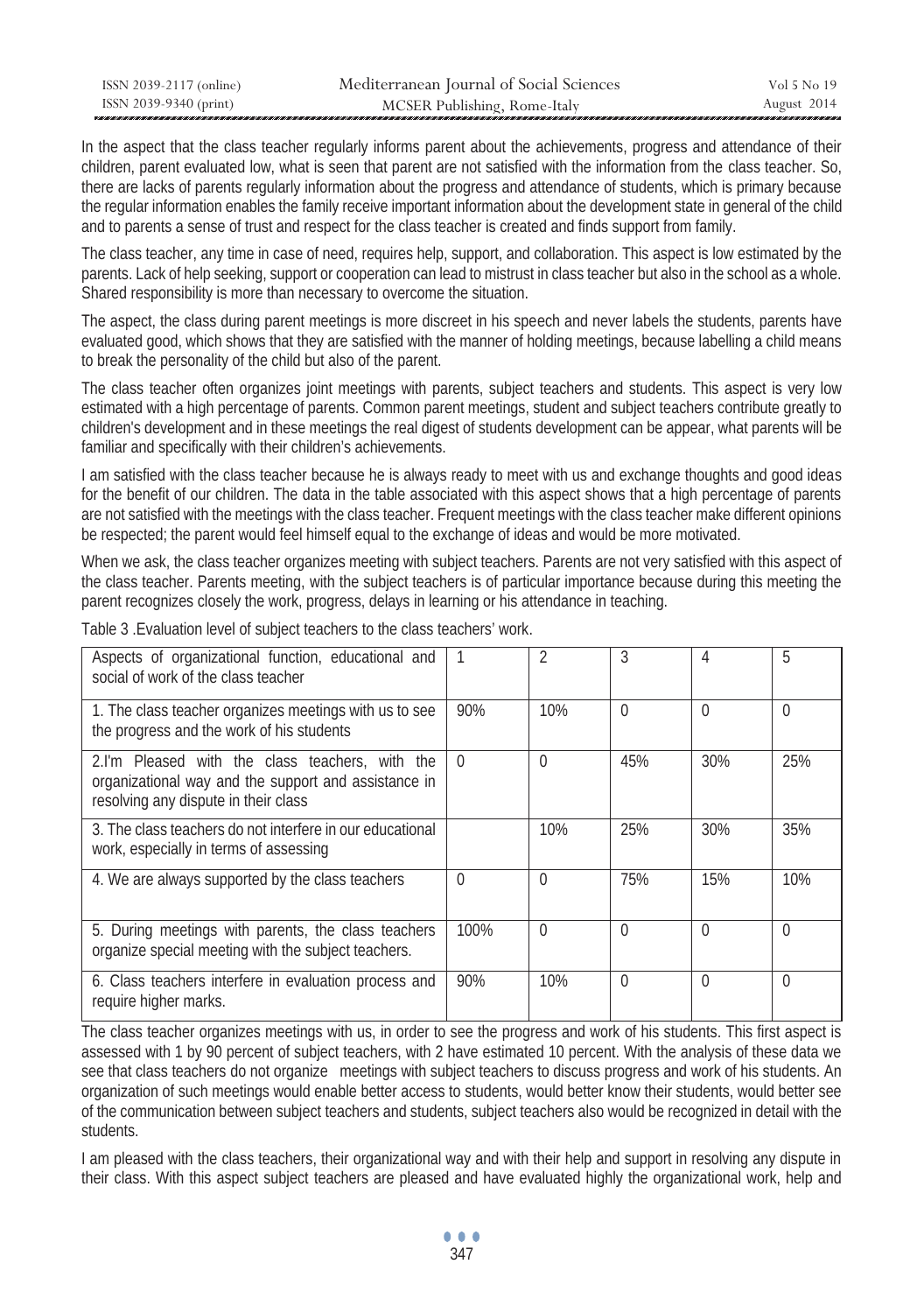| ISSN 2039-2117 (online) | Mediterranean Journal of Social Sciences | Vol 5 No 19 |
|-------------------------|------------------------------------------|-------------|
| ISSN 2039-9340 (print)  | MCSER Publishing, Rome-Italy             | August 2014 |

In the aspect that the class teacher regularly informs parent about the achievements, progress and attendance of their children, parent evaluated low, what is seen that parent are not satisfied with the information from the class teacher. So, there are lacks of parents regularly information about the progress and attendance of students, which is primary because the regular information enables the family receive important information about the development state in general of the child and to parents a sense of trust and respect for the class teacher is created and finds support from family.

The class teacher, any time in case of need, requires help, support, and collaboration. This aspect is low estimated by the parents. Lack of help seeking, support or cooperation can lead to mistrust in class teacher but also in the school as a whole. Shared responsibility is more than necessary to overcome the situation.

The aspect, the class during parent meetings is more discreet in his speech and never labels the students, parents have evaluated good, which shows that they are satisfied with the manner of holding meetings, because labelling a child means to break the personality of the child but also of the parent.

The class teacher often organizes joint meetings with parents, subject teachers and students. This aspect is very low estimated with a high percentage of parents. Common parent meetings, student and subject teachers contribute greatly to children's development and in these meetings the real digest of students development can be appear, what parents will be familiar and specifically with their children's achievements.

I am satisfied with the class teacher because he is always ready to meet with us and exchange thoughts and good ideas for the benefit of our children. The data in the table associated with this aspect shows that a high percentage of parents are not satisfied with the meetings with the class teacher. Frequent meetings with the class teacher make different opinions be respected; the parent would feel himself equal to the exchange of ideas and would be more motivated.

When we ask, the class teacher organizes meeting with subject teachers. Parents are not very satisfied with this aspect of the class teacher. Parents meeting, with the subject teachers is of particular importance because during this meeting the parent recognizes closely the work, progress, delays in learning or his attendance in teaching.

| Aspects of organizational function, educational and<br>social of work of the class teacher                                                      |          | $\mathfrak{D}$ | 3        | 4        | 5        |
|-------------------------------------------------------------------------------------------------------------------------------------------------|----------|----------------|----------|----------|----------|
| 1. The class teacher organizes meetings with us to see<br>the progress and the work of his students                                             | 90%      | 10%            | $\Omega$ | $\Omega$ | $\Omega$ |
| 2.I'm Pleased with the class teachers, with the<br>organizational way and the support and assistance in<br>resolving any dispute in their class | $\Omega$ | $\Omega$       | 45%      | 30%      | 25%      |
| 3. The class teachers do not interfere in our educational<br>work, especially in terms of assessing                                             |          | 10%            | 25%      | 30%      | 35%      |
| 4. We are always supported by the class teachers                                                                                                | $\Omega$ | $\Omega$       | 75%      | 15%      | 10%      |
| 5. During meetings with parents, the class teachers<br>organize special meeting with the subject teachers.                                      | 100%     | $\Omega$       | $\Omega$ | $\Omega$ | $\Omega$ |
| 6. Class teachers interfere in evaluation process and<br>require higher marks.                                                                  | 90%      | 10%            | $\Omega$ | $\Omega$ | $\Omega$ |

Table 3 .Evaluation level of subject teachers to the class teachers' work.

The class teacher organizes meetings with us, in order to see the progress and work of his students. This first aspect is assessed with 1 by 90 percent of subject teachers, with 2 have estimated 10 percent. With the analysis of these data we see that class teachers do not organize meetings with subject teachers to discuss progress and work of his students. An organization of such meetings would enable better access to students, would better know their students, would better see of the communication between subject teachers and students, subject teachers also would be recognized in detail with the students.

I am pleased with the class teachers, their organizational way and with their help and support in resolving any dispute in their class. With this aspect subject teachers are pleased and have evaluated highly the organizational work, help and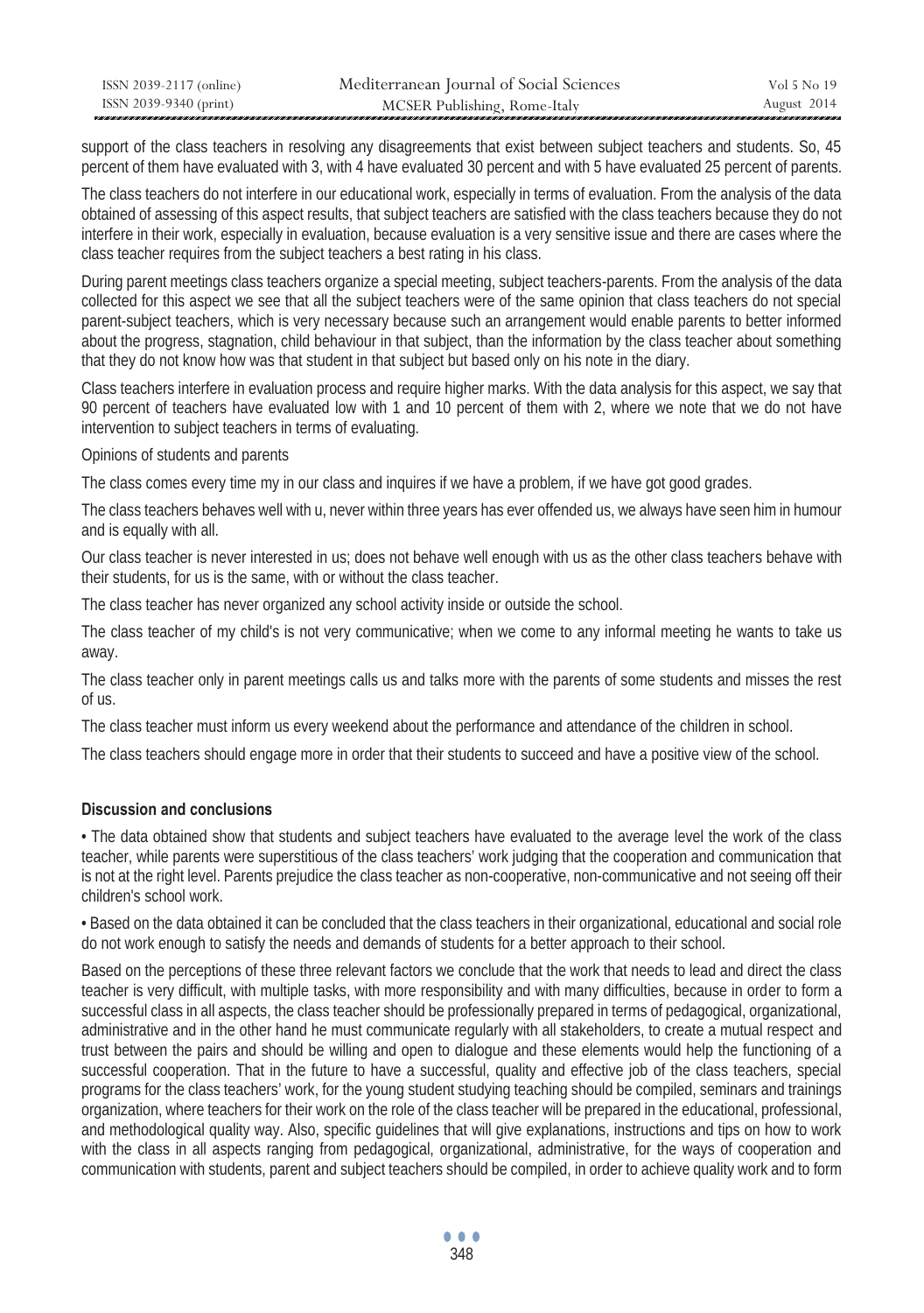| ISSN 2039-2117 (online) | Mediterranean Journal of Social Sciences | Vol 5 No 19 |
|-------------------------|------------------------------------------|-------------|
| ISSN 2039-9340 (print)  | MCSER Publishing, Rome-Italy             | August 2014 |

support of the class teachers in resolving any disagreements that exist between subject teachers and students. So, 45 percent of them have evaluated with 3, with 4 have evaluated 30 percent and with 5 have evaluated 25 percent of parents.

The class teachers do not interfere in our educational work, especially in terms of evaluation. From the analysis of the data obtained of assessing of this aspect results, that subject teachers are satisfied with the class teachers because they do not interfere in their work, especially in evaluation, because evaluation is a very sensitive issue and there are cases where the class teacher requires from the subject teachers a best rating in his class.

During parent meetings class teachers organize a special meeting, subject teachers-parents. From the analysis of the data collected for this aspect we see that all the subject teachers were of the same opinion that class teachers do not special parent-subject teachers, which is very necessary because such an arrangement would enable parents to better informed about the progress, stagnation, child behaviour in that subject, than the information by the class teacher about something that they do not know how was that student in that subject but based only on his note in the diary.

Class teachers interfere in evaluation process and require higher marks. With the data analysis for this aspect, we say that 90 percent of teachers have evaluated low with 1 and 10 percent of them with 2, where we note that we do not have intervention to subject teachers in terms of evaluating.

Opinions of students and parents

The class comes every time my in our class and inquires if we have a problem, if we have got good grades.

The class teachers behaves well with u, never within three years has ever offended us, we always have seen him in humour and is equally with all.

Our class teacher is never interested in us; does not behave well enough with us as the other class teachers behave with their students, for us is the same, with or without the class teacher.

The class teacher has never organized any school activity inside or outside the school.

The class teacher of my child's is not very communicative; when we come to any informal meeting he wants to take us away.

The class teacher only in parent meetings calls us and talks more with the parents of some students and misses the rest of us.

The class teacher must inform us every weekend about the performance and attendance of the children in school.

The class teachers should engage more in order that their students to succeed and have a positive view of the school.

## **Discussion and conclusions**

• The data obtained show that students and subject teachers have evaluated to the average level the work of the class teacher, while parents were superstitious of the class teachers' work judging that the cooperation and communication that is not at the right level. Parents prejudice the class teacher as non-cooperative, non-communicative and not seeing off their children's school work.

• Based on the data obtained it can be concluded that the class teachers in their organizational, educational and social role do not work enough to satisfy the needs and demands of students for a better approach to their school.

Based on the perceptions of these three relevant factors we conclude that the work that needs to lead and direct the class teacher is very difficult, with multiple tasks, with more responsibility and with many difficulties, because in order to form a successful class in all aspects, the class teacher should be professionally prepared in terms of pedagogical, organizational, administrative and in the other hand he must communicate regularly with all stakeholders, to create a mutual respect and trust between the pairs and should be willing and open to dialogue and these elements would help the functioning of a successful cooperation. That in the future to have a successful, quality and effective job of the class teachers, special programs for the class teachers' work, for the young student studying teaching should be compiled, seminars and trainings organization, where teachers for their work on the role of the class teacher will be prepared in the educational, professional, and methodological quality way. Also, specific guidelines that will give explanations, instructions and tips on how to work with the class in all aspects ranging from pedagogical, organizational, administrative, for the ways of cooperation and communication with students, parent and subject teachers should be compiled, in order to achieve quality work and to form